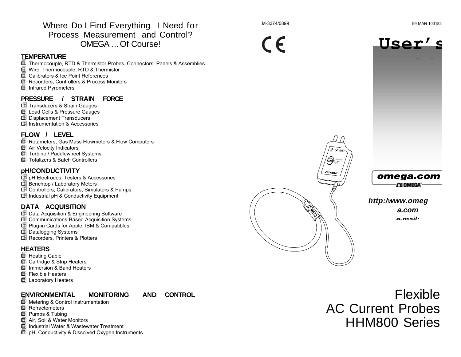Where Do I Find Everything I Need for Process Measurement and Control? OMEGA ... Of Course!

#### **TEMPERATURE**

圖 Thermocouple, RTD & Thermistor Probes, Connectors, Panels & Assemblies 1 Wire: Thermocouple, RTD & Thermistor 圖 Calibrators & Ice Point References 1 Recorders, Controllers & Process Monitors **f** Infrared Pyrometers

### **PRESSURE / STRAIN FORCE**

**I** Transducers & Strain Gauges 1 Load Cells & Pressure Gauges **I** Displacement Transducers

**I** Instrumentation & Accessories

### **FLOW / LEVEL**

圖 Rotameters, Gas Mass Flowmeters & Flow Computers **B** Air Velocity Indicators 1 Turbine / Paddlewheel Systems 13 Totalizers & Batch Controllers

#### **pH/CONDUCTIVITY**

· **I** pH Electrodes, Testers & Accessories 1 Benchtop / Laboratory Meters **f** Controllers, Calibrators, Simulators & Pumps III Industrial pH & Conductivity Equipment

#### **DATA ACQUISITION**

**f** Data Acquisition & Engineering Software **f** Communications-Based Acquisition Systems **f** Plug-in Cards for Apple, IBM & Compatibles 1 Datalogging Systems **I** Recorders, Printers & Plotters

#### **HEATERS**

- 围 Heating Cable
- 1 Cartridge & Strip Heaters
- la Immersion & Band Heaters
- **国 Flexible Heaters**
- 1 Laboratory Heaters

#### **ENVIRONMENTAL MONITORING AND CONTROL**

- 圖 Metering & Control Instrumentation
- **I** Refractometers
- 1 Pumps & Tubing
- 13 Air, Soil & Water Monitors
- **国 Industrial Water & Wastewater Treatment**
- 僵 pH, Conductivity & Dissolved Oxygen Instruments

 $\epsilon$ 





### omega.com **CEOMBGA**

### **http:/www.omeg a.com e-mail:**

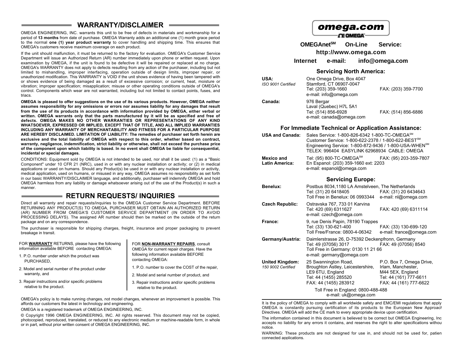### **WARRANTY/DISCLAIMER**

OMEGA ENGINEERING, INC. warrants this unit to be free of defects in materials and workmanship for a period of **13 months** from date of purchase. OMEGA Warranty adds an additional one (1) month grace period to the normal **one (1) year product warranty** to cover handling and shipping time. This ensures that OMEGA's customers receive maximum coverage on each product.

If the unit should malfunction, it must be returned to the factory for evaluation. OMEGA's Customer Service Department will issue an Authorized Return (AR) number immediately upon phone or written request. Upon examination by OMEGA, if the unit is found to be defective it will be repaired or replaced at no charge. OMEGA's WARRANTY does not apply to defects resulting from any action of the purchaser, including but not limited to mishandling, improper interfacing, operation outside of design limits, improper repair, or unauthorized modification. This WARRANTY is VOID if the unit shows evidence of having been tampered with or shows evidence of being damaged as a result of excessive corrosion; or current, heat, moisture or vibration; improper specification; misapplication; misuse or other operating conditions outside of OMEGA's control. Components which wear are not warranted, including but not limited to contact points, fuses, and triacs.

**OMEGA is pleased to offer suggestions on the use of its various products. However, OMEGA neither assumes responsibility for any omissions or errors nor assumes liability for any damages that result from the use of its products in accordance with information provided by OMEGA, either verbal or written. OMEGA warrants only that the parts manufactured by it will be as specified and free of defects. OMEGA MAKES NO OTHER WARRANTIES OR REPRESENTATIONS OF ANY KIND WHATSOEVER, EXPRESSED OR IMPLIED, EXCEPT THAT OF TITLE, AND ALL IMPLIED WARRANTIES INCLUDING ANY WARRANTY OF MERCHANTABILITY AND FITNESS FOR A PARTICULAR PURPOSE ARE HEREBY DISCLAIMED. LIMITATION OF LIABILITY: The remedies of purchaser set forth herein are exclusive and the total liability of OMEGA with respect to this order, whether based on contract, warranty, negligence, indemnification, strict liability or otherwise, shall not exceed the purchase price of the component upon which liability is based. In no event shall OMEGA be liable for consequential, incidental or special damages.**

CONDITIONS: Equipment sold by OMEGA is not intended to be used, nor shall it be used: (1) as a "Basic Component" under 10 CFR 21 (NRC), used in or with any nuclear installation or activity; or (2) in medical applications or used on humans. Should any Product(s) be used in or with any nuclear installation or activity, medical application, used on humans, or misused in any way, OMEGA assumes no responsibility as set forth in our basic WARRANTY/DISCLAIMER language, and additionally, purchaser will indemnify OMEGA and hold OMEGA harmless from any liability or damage whatsoever arising out of the use of the Product(s) in such a manner.

### **RETURN REQUESTS/ INQUIRIES**

Direct all warranty and repair requests/inquiries to the OMEGA Customer Service Department. BEFORE RETURNING ANY PRODUCT(S) TO OMEGA, PURCHASER MUST OBTAIN AN AUTHORIZED RETURN (AR) NUMBER FROM OMEGA'S CUSTOMER SERVICE DEPARTMENT (IN ORDER TO AVOID PROCESSING DELAYS). The assigned AR number should then be marked on the outside of the return package and on any correspondence.

The purchaser is responsible for shipping charges, freight, insurance and proper packaging to prevent breakage in transit.

| FOR WARRANTY RETURNS, please have the following | FOR NON-WARRANTY REPAIRS, consult               |
|-------------------------------------------------|-------------------------------------------------|
| information available BEFORE contacting OMEGA:  | OMEGA for current repair charges. Have the      |
| 1. P.O. number under which the product was      | following information available BEFORE          |
| PURCHASED.                                      | contacting OMEGA:                               |
| 2. Model and serial number of the product under | 1. P.O. number to cover the COST of the repair. |
| warranty, and                                   | 2. Model and serial number of product, and      |
| 3. Repair instructions and/or specific problems | 3. Repair instructions and/or specific problems |
| relative to the product.                        | relative to the product.                        |

OMEGA's policy is to make running changes, not model changes, whenever an improvement is possible. This affords our customers the latest in technology and engineering.

OMEGA is a registered trademark of OMEGA ENGINEERING, INC.

© Copyright 1996 OMEGA ENGINEERING, INC. All rights reserved. This document may not be copied, photocopied, reproduced, translated, or reduced to any electronic medium or machine-readable form, in whole or in part, without prior written consent of OMEGA ENGINEERING, INC.

# omega.com

**CE OMEGA** 

**OMEGAnetSM On-Line Service: http://www.omega.com**

**Internet e-mail: info@omega.com**

#### **Servicing North America:**

| USA:<br>ISO 9001 Certified | One Omega Drive, Box 4047<br>Stamford, CT 06907-0047<br>Tel: (203) 359-1660<br>e-mail: info@omega.com | FAX: (203) 359-7700 |
|----------------------------|-------------------------------------------------------------------------------------------------------|---------------------|
| Canada:                    | 976 Bergar<br>Laval (Quebec) H7L 5A1<br>Tel: (514) 856-6928<br>e-mail: canada@omega.com               | FAX: (514) 856-6886 |

#### **For Immediate Technical or Application Assistance:**

| <b>USA and Canada:</b>                     | Sales Service: 1-800-826-6342 1-800-TC-OMEGA <sup>SM</sup><br>Customer Service: 1-800-622-2378 / 1-800-622-BEST <sup>SM</sup><br>Engineering Service: 1-800-872-9436 / 1-800-USA-WHEN <sup>SM</sup><br>TELEX: 996404 EASYLINK 62968934 CABLE: OMEGA |
|--------------------------------------------|-----------------------------------------------------------------------------------------------------------------------------------------------------------------------------------------------------------------------------------------------------|
| <b>Mexico and</b><br><b>Latin America:</b> | Tel: (95) 800-TC-OMEGA $^{SM}$<br>FAX: (95) 203-359-7807<br>En Espanol: (203) 359-1660 ext: 2203<br>e-mail: espanol@omega.com                                                                                                                       |

#### **Servicing Europe:**

| Benelux:                                     | Postbus 8034,1180 LA Amstelveen, The Netherlands<br>Tel: (31) 20 6418405<br>Toll Free in Benelux: 06 0993344                                 | FAX: (31) 20 6434643<br>e-mail: nl@omega.com                                                                           |
|----------------------------------------------|----------------------------------------------------------------------------------------------------------------------------------------------|------------------------------------------------------------------------------------------------------------------------|
| Czech Republic:                              | Ostravska 767, 733 01 Karvina<br>Tel: 420 (69) 6311627<br>e-mail: czech@omega.com                                                            | FAX: 420 (69) 6311114                                                                                                  |
| France:                                      | 9, rue Denis Papin, 78190 Trappes<br>Tel: (33) 130-621-400<br>Toll Free/France: 0800-4-06342                                                 | FAX: (33) 130-699-120<br>e-mail: france@omega.com                                                                      |
| Germany/Austria:                             | Daimlerstrasse 26, D-75392 Deckenpfronn, Germany<br>Tel: 49 (07056) 3017<br>Toll Free in Germany: 0130 11 21 66<br>e-mail: germany@omega.com | FAX: 49 (07056) 8540                                                                                                   |
| <b>United Kingdom:</b><br>150 9002 Certified | 25 Swannington Road,<br>Broughton Astley, Leicestershire,<br>LE9 6TU, England<br>Tel: 44 (1455) 285520<br>FAX: 44 (1455) 283912              | P.O. Box 7, Omega Drive,<br>Irlam, Manchester,<br>M44 5EX, England<br>Tel: 44 (161) 777-6611<br>FAX: 44 (161) 777-6622 |
|                                              | Toll Free in England: 0800-488-488<br>e-mail: uk@omega.com                                                                                   |                                                                                                                        |

It is the policy of OMEGA to comply with all worldwide safety and EMC/EMI regulations that apply. OMEGA is constantly pursuing certification of its products to the European New Approach Directives. OMEGA will add the CE mark to every appropriate device upon certification.

The information contained in this document is believed to be correct but OMEGA Engineering, Inc accepts no liability for any errors it contains, and reserves the right to alter specifications withou notice.

WARNING: These products are not designed for use in, and should not be used for, patient connected applications.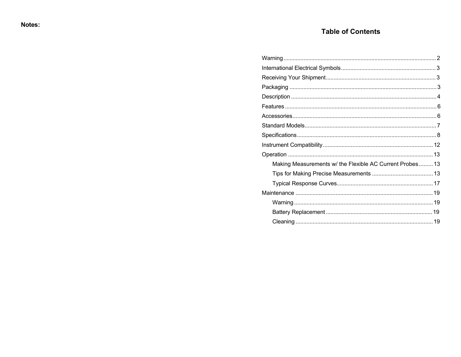### **Table of Contents**

| Making Measurements w/ the Flexible AC Current Probes 13 |  |
|----------------------------------------------------------|--|
|                                                          |  |
|                                                          |  |
|                                                          |  |
|                                                          |  |
|                                                          |  |
|                                                          |  |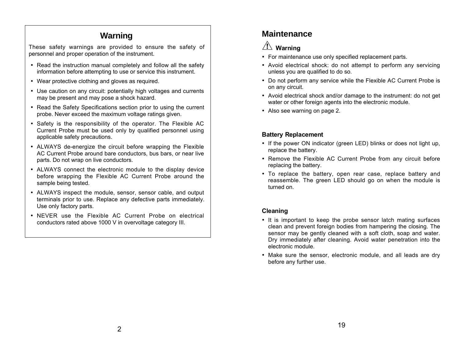# **Warning**

These safety warnings are provided to ensure the safety of personnel and proper operation of the instrument.

- · Read the instruction manual completely and follow all the safety information before attempting to use or service this instrument.
- · Wear protective clothing and gloves as required.
- · Use caution on any circuit: potentially high voltages and currents may be present and may pose a shock hazard.
- · Read the Safety Specifications section prior to using the current probe. Never exceed the maximum voltage ratings given.
- · Safety is the responsibility of the operator. The Flexible AC Current Probe must be used only by qualified personnel using applicable safety precautions.
- · ALWAYS de-energize the circuit before wrapping the Flexible AC Current Probe around bare conductors, bus bars, or near live parts. Do not wrap on live conductors.
- · ALWAYS connect the electronic module to the display device before wrapping the Flexible AC Current Probe around the sample being tested.
- · ALWAYS inspect the module, sensor, sensor cable, and output terminals prior to use. Replace any defective parts immediately. Use only factory parts.
- · NEVER use the Flexible AC Current Probe on electrical conductors rated above 1000 V in overvoltage category III.

# **Maintenance**

# $\sqrt{N}$  Warning

- · For maintenance use only specified replacement parts.
- · Avoid electrical shock: do not attempt to perform any servicing unless you are qualified to do so.
- · Do not perform any service while the Flexible AC Current Probe is on any circuit.
- · Avoid electrical shock and/or damage to the instrument: do not get water or other foreign agents into the electronic module.
- · Also see warning on page 2.

### **Battery Replacement**

- If the power ON indicator (green LED) blinks or does not light up, replace the battery.
- · Remove the Flexible AC Current Probe from any circuit before replacing the battery.
- · To replace the battery, open rear case, replace battery and reassemble. The green LED should go on when the module is turned on.

### **Cleaning**

- · It is important to keep the probe sensor latch mating surfaces clean and prevent foreign bodies from hampering the closing. The sensor may be gently cleaned with a soft cloth, soap and water. Dry immediately after cleaning. Avoid water penetration into the electronic module.
- · Make sure the sensor, electronic module, and all leads are dry before any further use.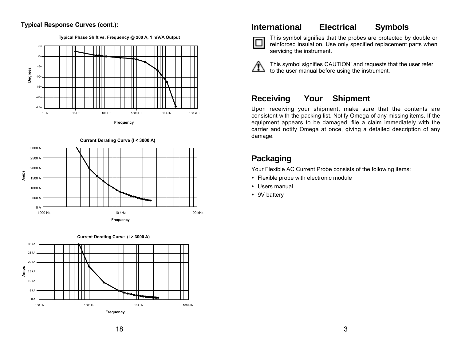### **Typical Response Curves (cont.):**

**Typical Phase Shift vs. Frequency @ 200 A, 1 mV/A Output**







### **International Electrical Symbols**



This symbol signifies that the probes are protected by double or reinforced insulation. Use only specified replacement parts when servicing the instrument.



This symbol signifies CAUTION! and requests that the user refer to the user manual before using the instrument.

### **Receiving Your Shipment**

Upon receiving your shipment, make sure that the contents are consistent with the packing list. Notify Omega of any missing items. If the equipment appears to be damaged, file a claim immediately with the carrier and notify Omega at once, giving a detailed description of any damage.

# **Packaging**

Your Flexible AC Current Probe consists of the following items:

- · Flexible probe with electronic module
- · Users manual
- · 9V battery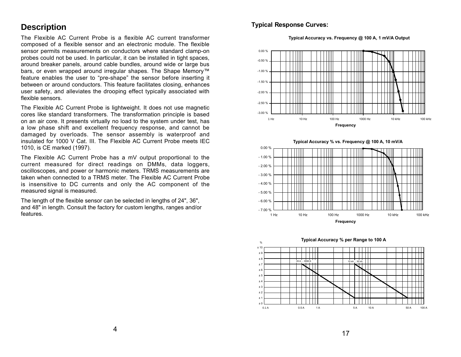### **Description**

The Flexible AC Current Probe is a flexible AC current transformer composed of a flexible sensor and an electronic module. The flexible sensor permits measurements on conductors where standard clamp-on probes could not be used. In particular, it can be installed in tight spaces, around breaker panels, around cable bundles, around wide or large bus bars, or even wrapped around irregular shapes. The Shape Memory™ feature enables the user to "pre-shape" the sensor before inserting it between or around conductors. This feature facilitates closing, enhances user safety, and alleviates the drooping effect typically associated with flexible sensors.

The Flexible AC Current Probe is lightweight. It does not use magnetic cores like standard transformers. The transformation principle is based on an air core. It presents virtually no load to the system under test, has a low phase shift and excellent frequency response, and cannot be damaged by overloads. The sensor assembly is waterproof and insulated for 1000 V Cat. III. The Flexible AC Current Probe meets IEC 1010, is CE marked (1997).

The Flexible AC Current Probe has a mV output proportional to the current measured for direct readings on DMMs, data loggers, oscilloscopes, and power or harmonic meters. TRMS measurements are taken when connected to a TRMS meter. The Flexible AC Current Probe is insensitive to DC currents and only the AC component of the measured signal is measured.

The length of the flexible sensor can be selected in lengths of 24", 36", and 48" in length. Consult the factory for custom lengths, ranges and/or features.

**Typical Response Curves:** 

**Typical Accuracy vs. Frequency @ 100 A, 1 mV/A Output**







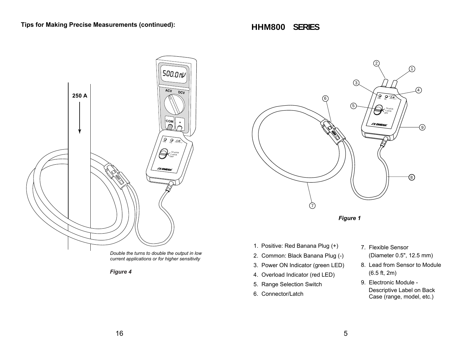**HHM800 SERIES**



*Figure 4*



*Figure 1*

- 1. Positive: Red Banana Plug (+)
- 2. Common: Black Banana Plug (-)
- 3. Power ON Indicator (green LED)
- 4. Overload Indicator (red LED)
- 5. Range Selection Switch
- 6. Connector/Latch
- 7. Flexible Sensor (Diameter 0.5", 12.5 mm)
- 8. Lead from Sensor to Module (6.5 ft, 2m)
- 9. Electronic Module Descriptive Label on Back Case (range, model, etc.)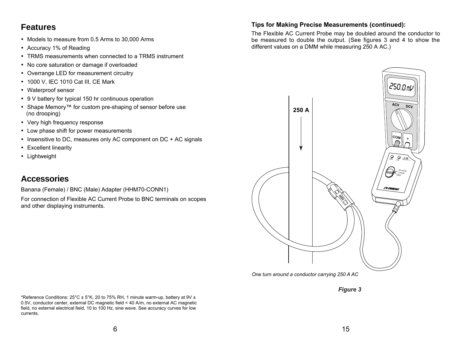# **Features**

- · Models to measure from 0.5 Arms to 30,000 Arms
- · Accuracy 1% of Reading
- · TRMS measurements when connected to a TRMS instrument
- · No core saturation or damage if overloaded
- · Overrange LED for measurement circuitry
- · 1000 V, IEC 1010 Cat III, CE Mark
- · Waterproof sensor
- · 9 V battery for typical 150 hr continuous operation
- · Shape Memory™ for custom pre-shaping of sensor before use (no drooping)
- · Very high frequency response
- · Low phase shift for power measurements
- · Insensitive to DC, measures only AC component on DC + AC signals
- · Excellent linearity
- · Lightweight

# **Accessories**

Banana (Female) / BNC (Male) Adapter (HHM70-CONN1)

For connection of Flexible AC Current Probe to BNC terminals on scopes and other displaying instruments.

### **Tips for Making Precise Measurements (continued):**

The Flexible AC Current Probe may be doubled around the conductor to be measured to double the output. (See figures 3 and 4 to show the different values on a DMM while measuring 250 A AC.)



*One turn around a conductor carrying 250 A AC*

*Figure 3*

\*Reference Conditions:  $25^{\circ}$ C ± 5°K, 20 to 75% RH, 1 minute warm-up, battery at 9V ± 0.5V, conductor center, external DC magnetic field < 40 A/m, no external AC magnetic field, no external electrical field, 10 to 100 Hz, sine wave. See accuracy curves for low currents.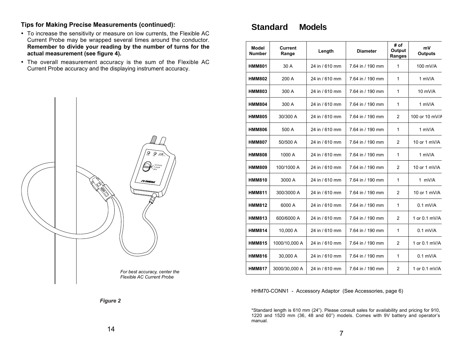### **Tips for Making Precise Measurements (continued):**

- · To increase the sensitivity or measure on low currents, the Flexible AC Current Probe may be wrapped several times around the conductor. **Remember to divide your reading by the number of turns for the actual measurement (see figure 4).**
- · The overall measurement accuracy is the sum of the Flexible AC Current Probe accuracy and the displaying instrument accuracy.



# **Standard Models**

| Model<br><b>Number</b> | Current<br>Range | Length         | <b>Diameter</b>  | # of<br>Output<br>Ranges | mV<br><b>Outputs</b> |
|------------------------|------------------|----------------|------------------|--------------------------|----------------------|
| <b>HMM801</b>          | 30 A             | 24 in / 610 mm | 7.64 in / 190 mm | 1                        | 100 mV/A             |
| <b>HMM802</b>          | 200 A            | 24 in / 610 mm | 7.64 in / 190 mm | 1                        | 1 mV/A               |
| <b>HMM803</b>          | 300 A            | 24 in / 610 mm | 7.64 in / 190 mm | 1                        | 10 mV/A              |
| <b>HMM804</b>          | 300 A            | 24 in / 610 mm | 7.64 in / 190 mm | 1                        | 1 mV/A               |
| <b>HMM805</b>          | 30/300 A         | 24 in / 610 mm | 7.64 in / 190 mm | 2                        | 100 or 10 mV/A       |
| <b>HMM806</b>          | 500 A            | 24 in / 610 mm | 7.64 in / 190 mm | 1                        | 1 mV/A               |
| <b>HMM807</b>          | 50/500 A         | 24 in / 610 mm | 7.64 in / 190 mm | 2                        | 10 or 1 mV/A         |
| <b>HMM808</b>          | 1000 A           | 24 in / 610 mm | 7.64 in / 190 mm | 1                        | 1 mV/A               |
| <b>HMM809</b>          | 100/1000 A       | 24 in / 610 mm | 7.64 in / 190 mm | 2                        | 10 or 1 mV/A         |
| <b>HMM810</b>          | 3000 A           | 24 in / 610 mm | 7.64 in / 190 mm | 1                        | 1 mV/A               |
| <b>HMM811</b>          | 300/3000 A       | 24 in / 610 mm | 7.64 in / 190 mm | 2                        | 10 or 1 mV/A         |
| <b>HMM812</b>          | 6000 A           | 24 in / 610 mm | 7.64 in / 190 mm | 1                        | $0.1$ mV/A           |
| <b>HMM813</b>          | 600/6000 A       | 24 in / 610 mm | 7.64 in / 190 mm | 2                        | 1 or 0.1 mV/A        |
| <b>HMM814</b>          | 10,000 A         | 24 in / 610 mm | 7.64 in / 190 mm | 1                        | $0.1$ mV/A           |
| <b>HMM815</b>          | 1000/10,000 A    | 24 in / 610 mm | 7.64 in / 190 mm | 2                        | 1 or 0.1 mV/A        |
| <b>HMM816</b>          | 30,000 A         | 24 in / 610 mm | 7.64 in / 190 mm | 1                        | $0.1$ mV/A           |
| <b>HMM817</b>          | 3000/30,000 A    | 24 in / 610 mm | 7.64 in / 190 mm | $\overline{2}$           | 1 or 0.1 mV/A        |

HHM70-CONN1 - Accessory Adaptor (See Accessories, page 6)

\*Standard length is 610 mm (24"). Please consult sales for availability and pricing for 910, 1220 and 1520 mm (36, 48 and 60") models. Comes with 9V battery and operator's manual.

*Figure 2*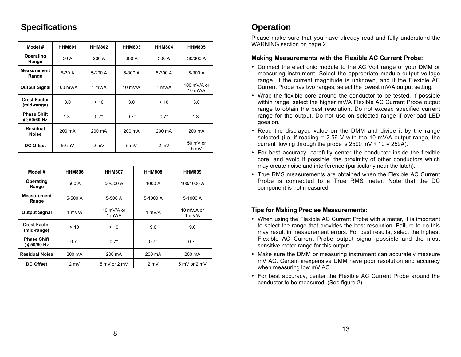# **Specifications**

| Model #                            | <b>HHM801</b> | <b>HHM802</b>  | <b>HHM803</b>     | <b>HHM804</b> | <b>HHM805</b>            |
|------------------------------------|---------------|----------------|-------------------|---------------|--------------------------|
| Operating<br>Range                 | 30 A          | 200 A          | 300 A             | 300 A         | 30/300 A                 |
| <b>Measurement</b><br>Range        | $5-30A$       | $5-200A$       | $5-300A$          | 5-300 A       | $5-300A$                 |
| <b>Output Signal</b>               | 100 mV/A      | 1 $mV/A$       | $10 \text{ mV/A}$ | 1 mV/ $\land$ | 100 mV/A or<br>$10$ mV/A |
| <b>Crest Factor</b><br>(mid-range) | 3.0           | >10            | 3.0               | > 10          | 3.0                      |
| <b>Phase Shift</b><br>@ 50/60 Hz   | $1.3^\circ$   | $0.7^\circ$    | $0.7^\circ$       | $0.7^\circ$   | $1.3^\circ$              |
| <b>Residual</b><br><b>Noise</b>    | 200 mA        | 200 mA         | 200 mA            | 200 mA        | 200 mA                   |
| <b>DC Offset</b>                   | 50 mV         | $2 \text{ mV}$ | 5 mV              | 2 mV          | 50 mV or<br>5 mV         |

| Model #                            | <b>HHM806</b> | <b>HHM807</b>        | <b>HHM808</b> | <b>HHM809</b>                    |
|------------------------------------|---------------|----------------------|---------------|----------------------------------|
| Operating<br>Range                 | 500 A         | 50/500 A             | 1000 A        | 100/1000 A                       |
| <b>Measurement</b><br>Range        | 5-500 A       | 5-500 A              | 5-1000 A      | 5-1000 A                         |
| <b>Output Signal</b>               | 1 mV/A        | 10 mV/A or<br>1 mV/A | 1 mV/A        | 10 mV/A or<br>1 mV/A             |
| <b>Crest Factor</b><br>(mid-range) | > 10          | > 10                 | 9.0           | 9.0                              |
| <b>Phase Shift</b><br>@ 50/60 Hz   | $0.7^\circ$   | $0.7^\circ$          | $0.7^\circ$   | $0.7^\circ$                      |
| <b>Residual Noise</b>              | 200 mA        | 200 mA               | 200 mA        | 200 mA                           |
| <b>DC Offset</b>                   | 2 mV          | 5 mV or 2 mV         | 2 mV          | $5 \text{ mV}$ or $2 \text{ mV}$ |

# **Operation**

Please make sure that you have already read and fully understand the WARNING section on page 2.

### **Making Measurements with the Flexible AC Current Probe:**

- · Connect the electronic module to the AC Volt range of your DMM or measuring instrument. Select the appropriate module output voltage range. If the current magnitude is unknown, and if the Flexible AC Current Probe has two ranges, select the lowest mV/A output setting.
- · Wrap the flexible core around the conductor to be tested. If possible within range, select the higher mV/A Flexible AC Current Probe output range to obtain the best resolution. Do not exceed specified current range for the output. Do not use on selected range if overload LED goes on.
- · Read the displayed value on the DMM and divide it by the range selected (i.e. if reading  $= 2.59$  V with the 10 mV/A output range, the current flowing through the probe is  $2590$  mV  $\div$  10 = 259A).
- · For best accuracy, carefully center the conductor inside the flexible core, and avoid if possible, the proximity of other conductors which may create noise and interference (particularly near the latch).
- · True RMS measurements are obtained when the Flexible AC Current Probe is connected to a True RMS meter. Note that the DC component is not measured.

### **Tips for Making Precise Measurements:**

- · When using the Flexible AC Current Probe with a meter, it is important to select the range that provides the best resolution. Failure to do this may result in measurement errors. For best results, select the highest Flexible AC Current Probe output signal possible and the most sensitive meter range for this output.
- · Make sure the DMM or measuring instrument can accurately measure mV AC. Certain inexpensive DMM have poor resolution and accuracy when measuring low mV AC.
- · For best accuracy, center the Flexible AC Current Probe around the conductor to be measured. (See figure 2).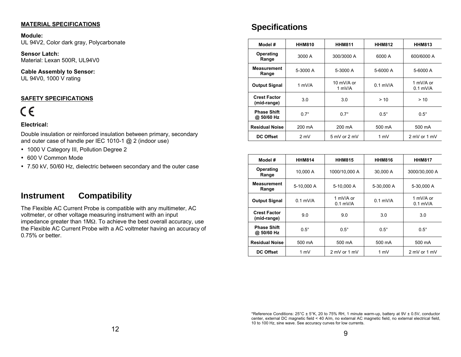#### **MATERIAL SPECIFICATIONS**

**Module:** UL 94V2, Color dark gray, Polycarbonate

**Sensor Latch:** Material: Lexan 500R, UL94V0

**Cable Assembly to Sensor:** UL 94V0, 1000 V rating

#### **SAFETY SPECIFICATIONS**

# $\epsilon$

#### **Electrical:**

Double insulation or reinforced insulation between primary, secondary and outer case of handle per IEC 1010-1 @ 2 (indoor use)

- · 1000 V Category III, Pollution Degree 2
- · 600 V Common Mode
- · 7.50 kV, 50/60 Hz, dielectric between secondary and the outer case

### **Instrument Compatibility**

The Flexible AC Current Probe is compatible with any multimeter, AC voltmeter, or other voltage measuring instrument with an input impedance greater than  $1M\Omega$ . To achieve the best overall accuracy, use the Flexible AC Current Probe with a AC voltmeter having an accuracy of 0.75% or better.

### **Specifications**

| Model#                             | <b>HHM810</b> | <b>HHM811</b>        | <b>HHM812</b> | <b>HHM813</b>           |
|------------------------------------|---------------|----------------------|---------------|-------------------------|
| Operating<br>Range                 | 3000 A        | 300/3000 A           | 6000 A        | 600/6000 A              |
| <b>Measurement</b><br>Range        | 5-3000 A      | 5-3000 A             | 5-6000 A      | 5-6000 A                |
| <b>Output Signal</b>               | 1 mV/A        | 10 mV/A or<br>1 mV/A | $0.1$ mV/A    | 1 mV/A or<br>$0.1$ mV/A |
| <b>Crest Factor</b><br>(mid-range) | 3.0           | 3.0                  | > 10          | > 10                    |
| <b>Phase Shift</b><br>@ 50/60 Hz   | $0.7^\circ$   | $0.7^\circ$          | $0.5^\circ$   | $0.5^\circ$             |
| <b>Residual Noise</b>              | 200 mA        | 200 mA               | 500 mA        | 500 mA                  |
| <b>DC Offset</b>                   | 2 mV          | 5 mV or 2 mV         | 1 mV          | 2 mV or 1 mV            |

| Model #                            | <b>HHM814</b> | <b>HHM815</b>           | <b>HHM816</b> | <b>HHM817</b>           |
|------------------------------------|---------------|-------------------------|---------------|-------------------------|
| Operating<br>Range                 | 10.000 A      | 1000/10.000 A           | 30.000 A      | 3000/30.000 A           |
| <b>Measurement</b><br>Range        | 5-10.000 A    | 5-10.000 A              | 5-30,000 A    | 5-30,000 A              |
| <b>Output Signal</b>               | $0.1$ mV/A    | 1 mV/A or<br>$0.1$ mV/A | $0.1$ mV/A    | 1 mV/A or<br>$0.1$ mV/A |
| <b>Crest Factor</b><br>(mid-range) | 9.0           | 9.0                     | 3.0           | 3.0                     |
| <b>Phase Shift</b><br>@ 50/60 Hz   | $0.5^\circ$   | $0.5^\circ$             | $0.5^\circ$   | $0.5^\circ$             |
| <b>Residual Noise</b>              | 500 mA        | 500 mA                  | 500 mA        | 500 mA                  |
| DC Offset                          | 1 mV          | 2 mV or 1 mV            | 1 mV          | 2 mV or 1 mV            |

<sup>\*</sup>Reference Conditions: 25°C ± 5°K, 20 to 75% RH, 1 minute warm-up, battery at 9V ± 0.5V, conductor center, external DC magnetic field < 40 A/m, no external AC magnetic field, no external electrical field, 10 to 100 Hz, sine wave. See accuracy curves for low currents.